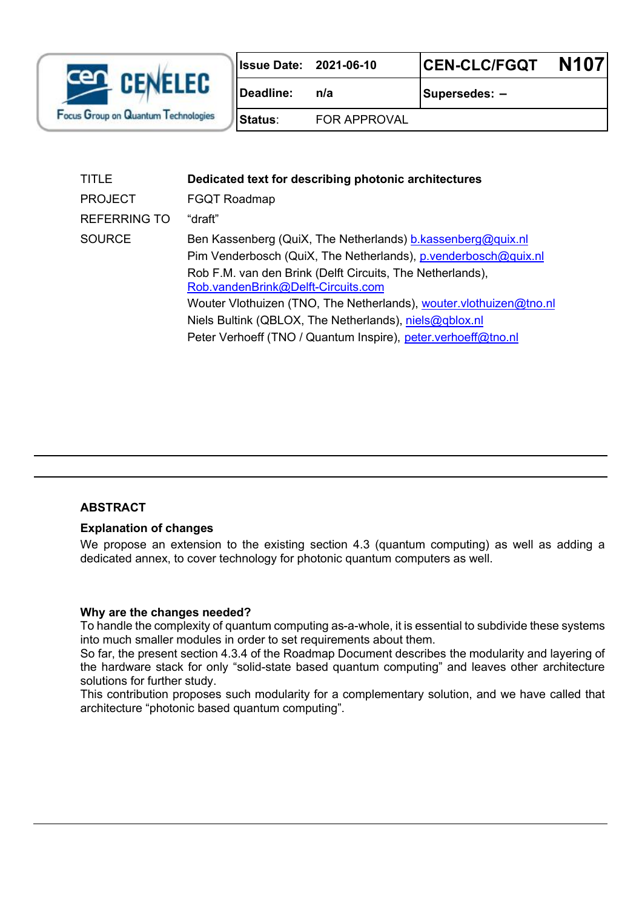

**Issue Date: 2021-06-10 CEN-CLC/FGQT N107**

**Deadline: n/a Supersedes: –** 

**Status**: FOR APPROVAL

| TITLE               | Dedicated text for describing photonic architectures                                                                                  |
|---------------------|---------------------------------------------------------------------------------------------------------------------------------------|
| <b>PROJECT</b>      | <b>FGQT Roadmap</b>                                                                                                                   |
| <b>REFERRING TO</b> | "draft"                                                                                                                               |
| <b>SOURCE</b>       | Ben Kassenberg (QuiX, The Netherlands) <b>b.</b> kassenberg@quix.nl<br>Pim Venderbosch (QuiX, The Netherlands), p.venderbosch@quix.nl |
|                     | Rob F.M. van den Brink (Delft Circuits, The Netherlands),<br>Rob.vandenBrink@Delft-Circuits.com                                       |
|                     | Wouter Vlothuizen (TNO, The Netherlands), wouter vlothuizen@tno.nl                                                                    |
|                     | Niels Bultink (QBLOX, The Netherlands), niels@qblox.nl                                                                                |
|                     | Peter Verhoeff (TNO / Quantum Inspire), peter verhoeff@tno.nl                                                                         |
|                     |                                                                                                                                       |

### **ABSTRACT**

#### **Explanation of changes**

We propose an extension to the existing section 4.3 (quantum computing) as well as adding a dedicated annex, to cover technology for photonic quantum computers as well.

#### **Why are the changes needed?**

To handle the complexity of quantum computing as-a-whole, it is essential to subdivide these systems into much smaller modules in order to set requirements about them.

So far, the present section 4.3.4 of the Roadmap Document describes the modularity and layering of the hardware stack for only "solid-state based quantum computing" and leaves other architecture solutions for further study.

This contribution proposes such modularity for a complementary solution, and we have called that architecture "photonic based quantum computing".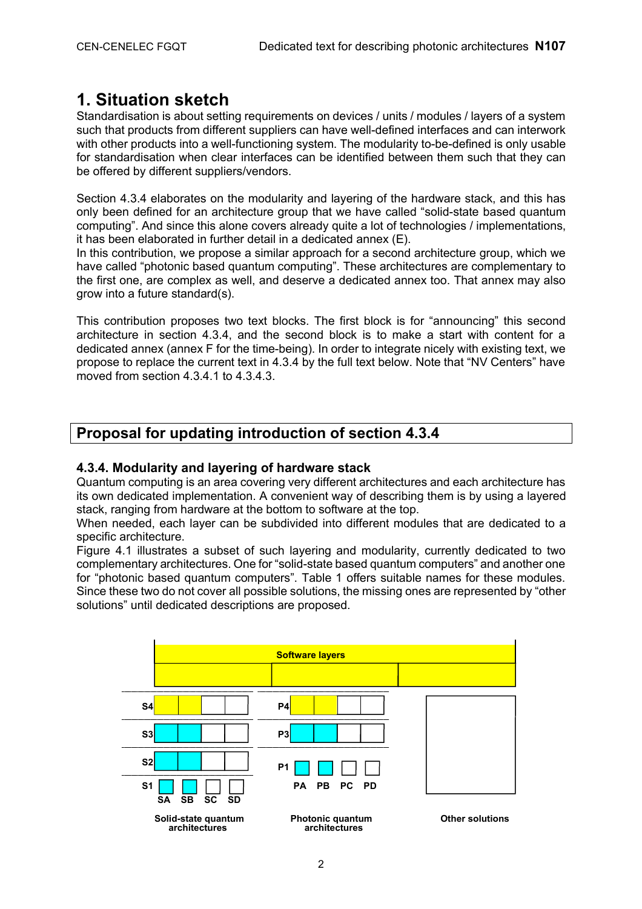# **1. Situation sketch**

Standardisation is about setting requirements on devices / units / modules / layers of a system such that products from different suppliers can have well-defined interfaces and can interwork with other products into a well-functioning system. The modularity to-be-defined is only usable for standardisation when clear interfaces can be identified between them such that they can be offered by different suppliers/vendors.

Section 4.3.4 elaborates on the modularity and layering of the hardware stack, and this has only been defined for an architecture group that we have called "solid-state based quantum computing". And since this alone covers already quite a lot of technologies / implementations, it has been elaborated in further detail in a dedicated annex (E).

In this contribution, we propose a similar approach for a second architecture group, which we have called "photonic based quantum computing". These architectures are complementary to the first one, are complex as well, and deserve a dedicated annex too. That annex may also grow into a future standard(s).

This contribution proposes two text blocks. The first block is for "announcing" this second architecture in section 4.3.4, and the second block is to make a start with content for a dedicated annex (annex F for the time-being). In order to integrate nicely with existing text, we propose to replace the current text in 4.3.4 by the full text below. Note that "NV Centers" have moved from section 4.3.4.1 to 4.3.4.3.

# **Proposal for updating introduction of section 4.3.4**

### **4.3.4. Modularity and layering of hardware stack**

Quantum computing is an area covering very different architectures and each architecture has its own dedicated implementation. A convenient way of describing them is by using a layered stack, ranging from hardware at the bottom to software at the top.

When needed, each layer can be subdivided into different modules that are dedicated to a specific architecture.

Figure 4.1 illustrates a subset of such layering and modularity, currently dedicated to two complementary architectures. One for "solid-state based quantum computers" and another one for "photonic based quantum computers". Table 1 offers suitable names for these modules. Since these two do not cover all possible solutions, the missing ones are represented by "other solutions" until dedicated descriptions are proposed.

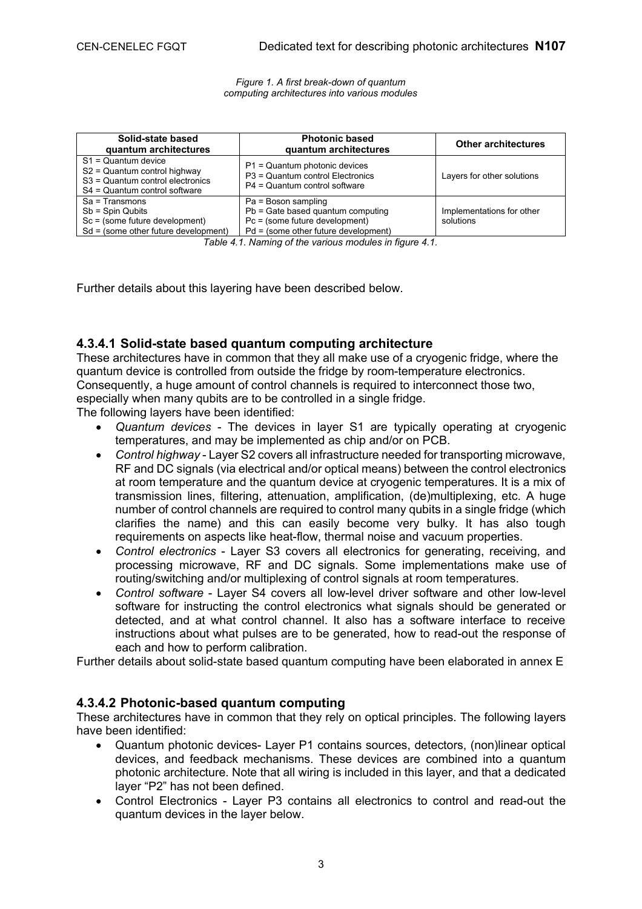*Figure 1. A first break-down of quantum computing architectures into various modules* 

| Solid-state based<br>quantum architectures                                                                                 | <b>Photonic based</b><br>quantum architectures                                                                                         | <b>Other architectures</b>             |
|----------------------------------------------------------------------------------------------------------------------------|----------------------------------------------------------------------------------------------------------------------------------------|----------------------------------------|
| $S1 =$ Quantum device<br>S2 = Quantum control highway<br>S3 = Quantum control electronics<br>S4 = Quantum control software | P1 = Quantum photonic devices<br>P3 = Quantum control Electronics<br>P4 = Quantum control software                                     | Layers for other solutions             |
| $Sa = Transmons$<br>$Sb = Spin$ Qubits<br>Sc = (some future development)<br>$Sd =$ (some other future development)         | Pa = Boson sampling<br>Pb = Gate based quantum computing<br>$Pc = (some future development)$<br>$Pd =$ (some other future development) | Implementations for other<br>solutions |

*Table 4.1. Naming of the various modules in figure 4.1.* 

Further details about this layering have been described below.

#### **4.3.4.1 Solid-state based quantum computing architecture**

These architectures have in common that they all make use of a cryogenic fridge, where the quantum device is controlled from outside the fridge by room-temperature electronics. Consequently, a huge amount of control channels is required to interconnect those two, especially when many qubits are to be controlled in a single fridge.

The following layers have been identified:

- · *Quantum devices* The devices in layer S1 are typically operating at cryogenic temperatures, and may be implemented as chip and/or on PCB.
- · *Control highway* Layer S2 covers all infrastructure needed for transporting microwave, RF and DC signals (via electrical and/or optical means) between the control electronics at room temperature and the quantum device at cryogenic temperatures. It is a mix of transmission lines, filtering, attenuation, amplification, (de)multiplexing, etc. A huge number of control channels are required to control many qubits in a single fridge (which clarifies the name) and this can easily become very bulky. It has also tough requirements on aspects like heat-flow, thermal noise and vacuum properties.
- · *Control electronics* Layer S3 covers all electronics for generating, receiving, and processing microwave, RF and DC signals. Some implementations make use of routing/switching and/or multiplexing of control signals at room temperatures.
- · *Control software* Layer S4 covers all low-level driver software and other low-level software for instructing the control electronics what signals should be generated or detected, and at what control channel. It also has a software interface to receive instructions about what pulses are to be generated, how to read-out the response of each and how to perform calibration.

Further details about solid-state based quantum computing have been elaborated in annex E

#### **4.3.4.2 Photonic-based quantum computing**

These architectures have in common that they rely on optical principles. The following layers have been identified:

- · Quantum photonic devices- Layer P1 contains sources, detectors, (non)linear optical devices, and feedback mechanisms. These devices are combined into a quantum photonic architecture. Note that all wiring is included in this layer, and that a dedicated layer "P2" has not been defined.
- · Control Electronics Layer P3 contains all electronics to control and read-out the quantum devices in the layer below.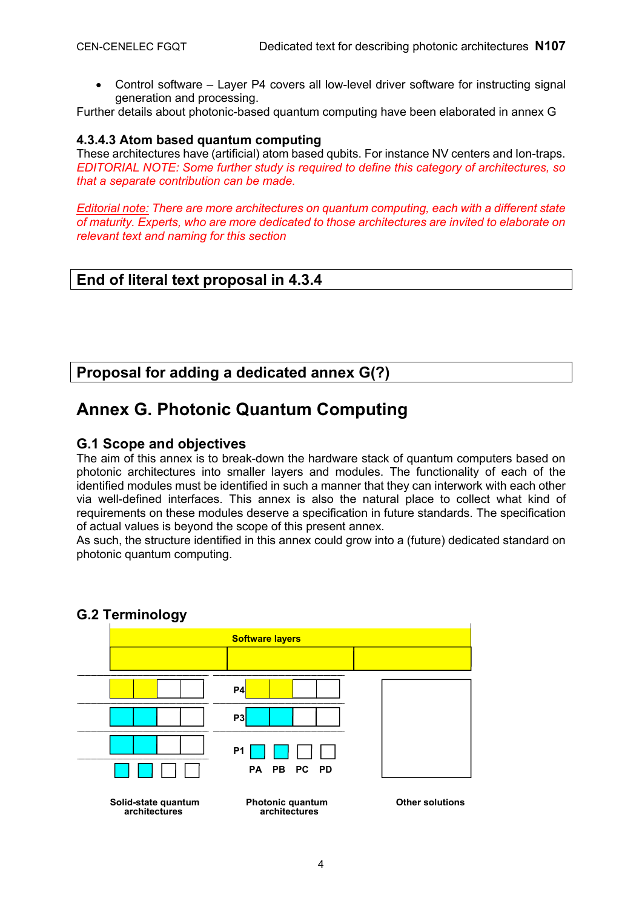· Control software – Layer P4 covers all low-level driver software for instructing signal generation and processing.

Further details about photonic-based quantum computing have been elaborated in annex G

### **4.3.4.3 Atom based quantum computing**

These architectures have (artificial) atom based qubits. For instance NV centers and Ion-traps. *EDITORIAL NOTE: Some further study is required to define this category of architectures, so that a separate contribution can be made.* 

*Editorial note: There are more architectures on quantum computing, each with a different state of maturity. Experts, who are more dedicated to those architectures are invited to elaborate on relevant text and naming for this section* 

# **End of literal text proposal in 4.3.4**

# **Proposal for adding a dedicated annex G(?)**

# **Annex G. Photonic Quantum Computing**

### **G.1 Scope and objectives**

The aim of this annex is to break-down the hardware stack of quantum computers based on photonic architectures into smaller layers and modules. The functionality of each of the identified modules must be identified in such a manner that they can interwork with each other via well-defined interfaces. This annex is also the natural place to collect what kind of requirements on these modules deserve a specification in future standards. The specification of actual values is beyond the scope of this present annex.

As such, the structure identified in this annex could grow into a (future) dedicated standard on photonic quantum computing.



## **G.2 Terminology**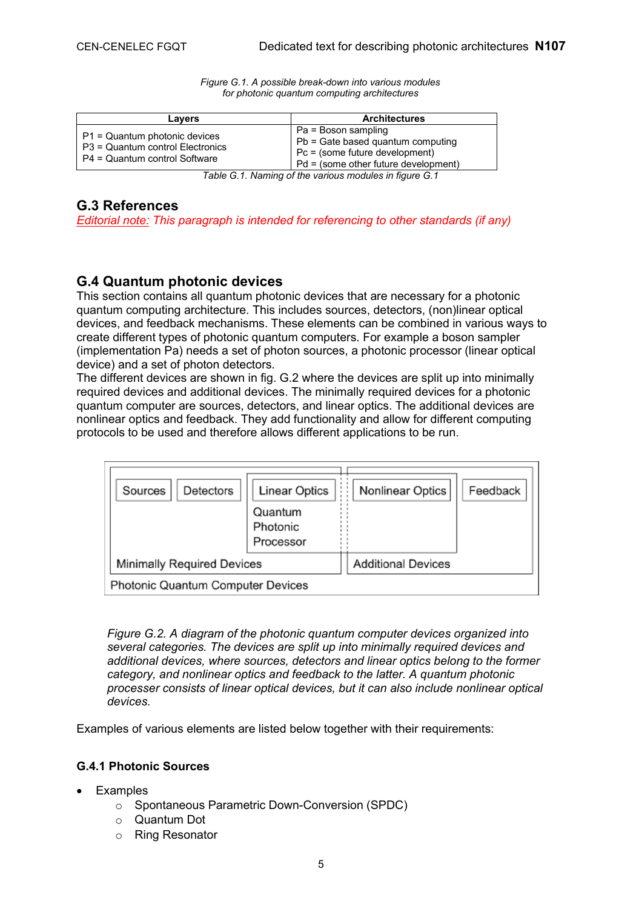| Lavers                                                                                             | <b>Architectures</b>                                                                                                                 |
|----------------------------------------------------------------------------------------------------|--------------------------------------------------------------------------------------------------------------------------------------|
| P1 = Quantum photonic devices<br>P3 = Quantum control Electronics<br>P4 = Quantum control Software | Pa = Boson sampling<br>Pb = Gate based quantum computing<br>Pc = (some future development)<br>$Pd = (some other future development)$ |

*Figure G.1. A possible break-down into various modules for photonic quantum computing architectures*

*Table G.1. Naming of the various modules in figure G.1*

### **G.3 References**

*Editorial note: This paragraph is intended for referencing to other standards (if any)* 

### **G.4 Quantum photonic devices**

This section contains all quantum photonic devices that are necessary for a photonic quantum computing architecture. This includes sources, detectors, (non)linear optical devices, and feedback mechanisms. These elements can be combined in various ways to create different types of photonic quantum computers. For example a boson sampler (implementation Pa) needs a set of photon sources, a photonic processor (linear optical device) and a set of photon detectors.

The different devices are shown in fig. G.2 where the devices are split up into minimally required devices and additional devices. The minimally required devices for a photonic quantum computer are sources, detectors, and linear optics. The additional devices are nonlinear optics and feedback. They add functionality and allow for different computing protocols to be used and therefore allows different applications to be run.



*Figure G.2. A diagram of the photonic quantum computer devices organized into several categories. The devices are split up into minimally required devices and additional devices, where sources, detectors and linear optics belong to the former category, and nonlinear optics and feedback to the latter. A quantum photonic processer consists of linear optical devices, but it can also include nonlinear optical devices.* 

Examples of various elements are listed below together with their requirements:

#### **G.4.1 Photonic Sources**

- **Examples** 
	- o Spontaneous Parametric Down-Conversion (SPDC)
	- o Quantum Dot
	- o Ring Resonator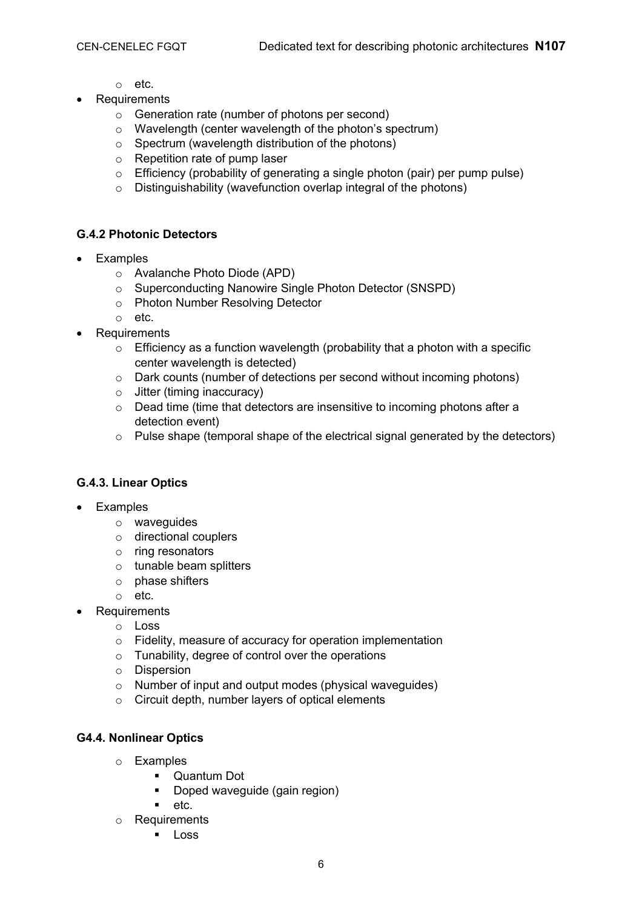- o etc.
- · Requirements
	- o Generation rate (number of photons per second)
	- o Wavelength (center wavelength of the photon's spectrum)
	- $\circ$  Spectrum (wavelength distribution of the photons)
	- o Repetition rate of pump laser
	- o Efficiency (probability of generating a single photon (pair) per pump pulse)
	- $\circ$  Distinguishability (wavefunction overlap integral of the photons)

### **G.4.2 Photonic Detectors**

- · Examples
	- o Avalanche Photo Diode (APD)
	- o Superconducting Nanowire Single Photon Detector (SNSPD)
	- o Photon Number Resolving Detector
	- o etc.
- · Requirements
	- $\circ$  Efficiency as a function wavelength (probability that a photon with a specific center wavelength is detected)
	- o Dark counts (number of detections per second without incoming photons)
	- o Jitter (timing inaccuracy)
	- o Dead time (time that detectors are insensitive to incoming photons after a detection event)
	- o Pulse shape (temporal shape of the electrical signal generated by the detectors)

### **G.4.3. Linear Optics**

- · Examples
	- o waveguides
	- o directional couplers
	- o ring resonators
	- $\circ$  tunable beam splitters
	- o phase shifters
	- o etc.
- **Requirements** 
	- o Loss
	- o Fidelity, measure of accuracy for operation implementation
	- o Tunability, degree of control over the operations
	- o Dispersion
	- o Number of input and output modes (physical waveguides)
	- o Circuit depth, number layers of optical elements

#### **G4.4. Nonlinear Optics**

- o Examples
	- **•** Quantum Dot
	- **•** Doped waveguide (gain region)
	- ß etc.
- o Requirements
	- **Loss**